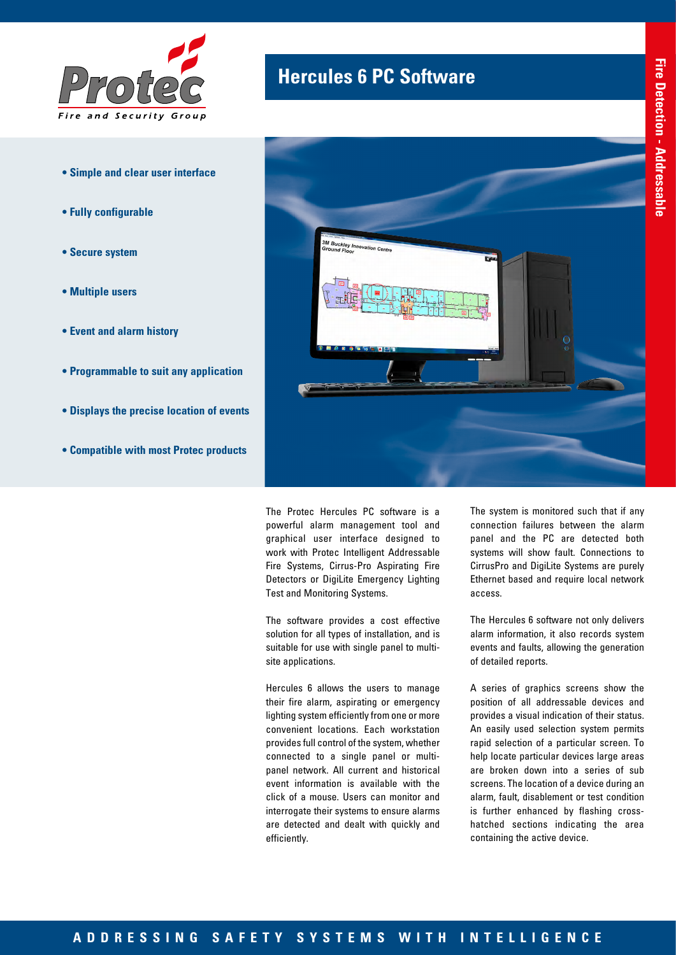

- **Simple and clear user interface**
- **Fully configurable**
- **Secure system**
- **Multiple users**
- **Event and alarm history**
- **Programmable to suit any application**
- **Displays the precise location of events**
- **Compatible with most Protec products**

## **Hercules 6 PC Software**



The Protec Hercules PC software is a powerful alarm management tool and graphical user interface designed to work with Protec Intelligent Addressable Fire Systems, Cirrus-Pro Aspirating Fire Detectors or DigiLite Emergency Lighting Test and Monitoring Systems.

The software provides a cost effective solution for all types of installation, and is suitable for use with single panel to multisite applications.

Hercules 6 allows the users to manage their fire alarm, aspirating or emergency lighting system efficiently from one or more convenient locations. Each workstation provides full control of the system, whether connected to a single panel or multipanel network. All current and historical event information is available with the click of a mouse. Users can monitor and interrogate their systems to ensure alarms are detected and dealt with quickly and efficiently.

The system is monitored such that if any connection failures between the alarm panel and the PC are detected both systems will show fault. Connections to CirrusPro and DigiLite Systems are purely Ethernet based and require local network access.

The Hercules 6 software not only delivers alarm information, it also records system events and faults, allowing the generation of detailed reports.

A series of graphics screens show the position of all addressable devices and provides a visual indication of their status. An easily used selection system permits rapid selection of a particular screen. To help locate particular devices large areas are broken down into a series of sub screens. The location of a device during an alarm, fault, disablement or test condition is further enhanced by flashing crosshatched sections indicating the area containing the active device.